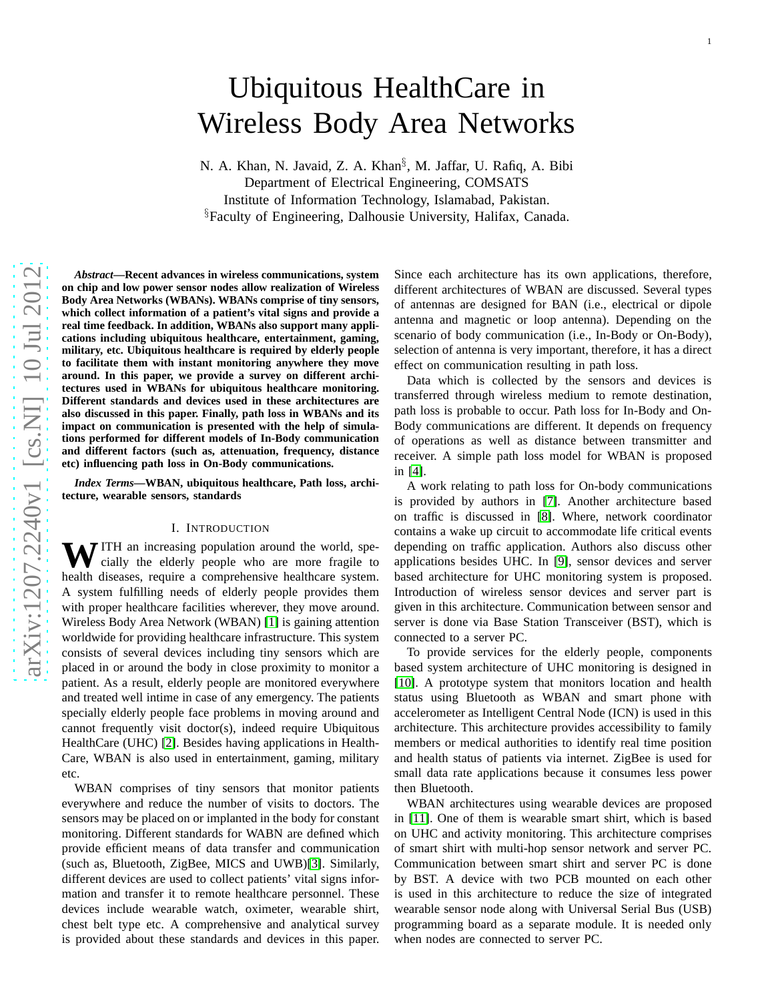# Ubiquitous HealthCare in Wireless Body Area Networks

N. A. Khan, N. Javaid, Z. A. Khan<sup>§</sup>, M. Jaffar, U. Rafiq, A. Bibi Department of Electrical Engineering, COMSATS Institute of Information Technology, Islamabad, Pakistan . §Faculty of Engineering, Dalhousie University, Halifax, Canada.

*Abstract***—Recent advances in wireless communications, system on chip and low power sensor nodes allow realization of Wireless Body Area Networks (WBANs). WBANs comprise of tiny sensors, which collect information of a patient's vital signs and provide a real time feedback. In addition, WBANs also support many applications including ubiquitous healthcare, entertainment, gaming, military, etc. Ubiquitous healthcare is required by elderly people to facilitate them with instant monitoring anywhere they move around. In this paper, we provide a survey on different archi tectures used in WBANs for ubiquitous healthcare monitoring. Different standards and devices used in these architectures are also discussed in this paper. Finally, path loss in WBANs and its impact on communication is presented with the help of simula tions performed for different models of In-Body communication and different factors (such as, attenuation, frequency, distance etc) influencing path loss in On-Body communications.**

*Index Terms***—WBAN, ubiquitous healthcare, Path loss, architecture, wearable sensors, standards**

## I. INTRODUCTION

**W**ITH an increasing population around the world, specially the elderly people who are more fragile to health diseases, require a comprehensive healthcare system. A system fulfilling needs of elderly people provides them with proper healthcare facilities wherever, they move around. Wireless Body Area Network (WBAN) [\[1\]](#page-7-0) is gaining attention worldwide for providing healthcare infrastructure. This system consists of several devices including tiny sensors which ar e placed in or around the body in close proximity to monitor a patient. As a result, elderly people are monitored everywhere and treated well intime in case of any emergency. The patient s specially elderly people face problems in moving around and cannot frequently visit doctor(s), indeed require Ubiquitous HealthCare (UHC) [\[2\]](#page-7-1). Besides having applications in Health-Care, WBAN is also used in entertainment, gaming, military etc.

WBAN comprises of tiny sensors that monitor patients everywhere and reduce the number of visits to doctors. The sensors may be placed on or implanted in the body for constant monitoring. Different standards for WABN are defined which provide efficient means of data transfer and communication (such as, Bluetooth, ZigBee, MICS and UWB)[\[3\]](#page-7-2). Similarly, different devices are used to collect patients' vital signs information and transfer it to remote healthcare personnel. These devices include wearable watch, oximeter, wearable shirt, chest belt type etc. A comprehensive and analytical survey is provided about these standards and devices in this paper.

Since each architecture has its own applications, therefore, different architectures of WBAN are discussed. Several types of antennas are designed for BAN (i.e., electrical or dipole antenna and magnetic or loop antenna). Depending on the scenario of body communication (i.e., In-Body or On-Body), selection of antenna is very important, therefore, it has a direct effect on communication resulting in path loss.

Data which is collected by the sensors and devices is transferred through wireless medium to remote destination , path loss is probable to occur. Path loss for In-Body and On-Body communications are different. It depends on frequency of operations as well as distance between transmitter and receiver. A simple path loss model for WBAN is proposed in [\[4\]](#page-7-3).

A work relating to path loss for On-body communications is provided by authors in [\[7\]](#page-7-4). Another architecture based on traffic is discussed in [\[8\]](#page-7-5). Where, network coordinator contains a wake up circuit to accommodate life critical events depending on traffic application. Authors also discuss othe r applications besides UHC. In [\[9\]](#page-7-6), sensor devices and server based architecture for UHC monitoring system is proposed. Introduction of wireless sensor devices and server part is given in this architecture. Communication between sensor and server is done via Base Station Transceiver (BST), which is connected to a server PC.

To provide services for the elderly people, components based system architecture of UHC monitoring is designed in [\[10\]](#page-7-7). A prototype system that monitors location and health status using Bluetooth as WBAN and smart phone with accelerometer as Intelligent Central Node (ICN) is used in this architecture. This architecture provides accessibility to family members or medical authorities to identify real time position and health status of patients via internet. ZigBee is used fo r small data rate applications because it consumes less power then Bluetooth.

WBAN architectures using wearable devices are proposed in [\[11\]](#page-7-8). One of them is wearable smart shirt, which is based on UHC and activity monitoring. This architecture comprise s of smart shirt with multi-hop sensor network and server PC. Communication between smart shirt and server PC is done by BST. A device with two PCB mounted on each other is used in this architecture to reduce the size of integrated wearable sensor node along with Universal Serial Bus (USB) programming board as a separate module. It is needed only when nodes are connected to server PC.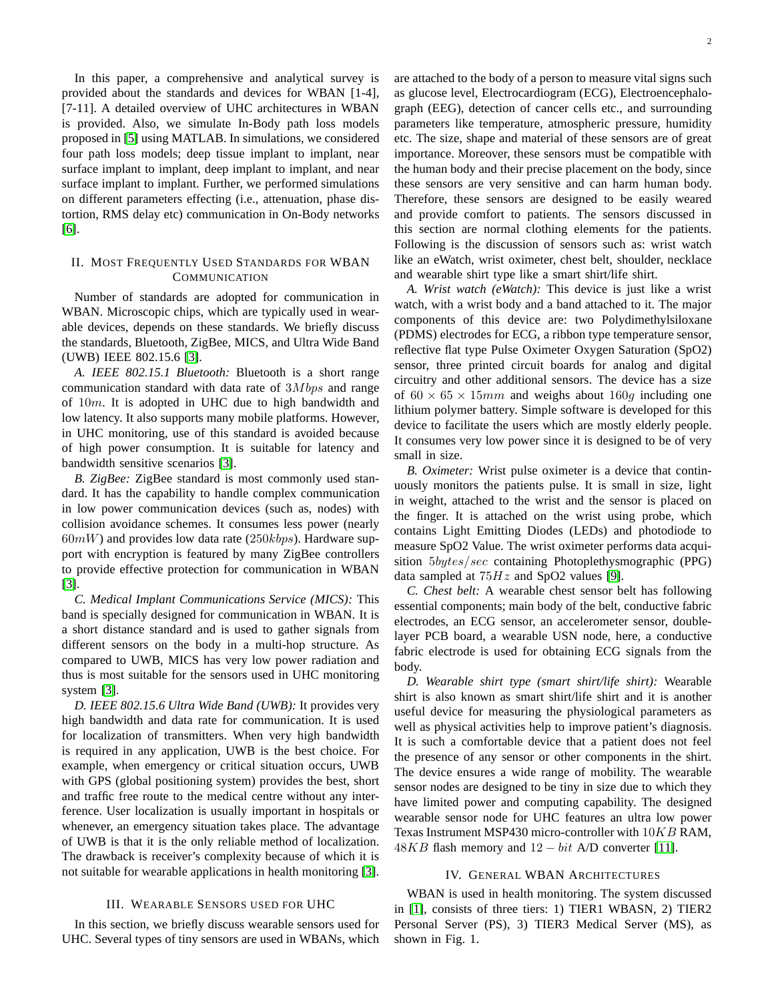In this paper, a comprehensive and analytical survey is provided about the standards and devices for WBAN [1-4], [7-11]. A detailed overview of UHC architectures in WBAN is provided. Also, we simulate In-Body path loss models proposed in [\[5\]](#page-7-9) using MATLAB. In simulations, we considered four path loss models; deep tissue implant to implant, near surface implant to implant, deep implant to implant, and near surface implant to implant. Further, we performed simulations on different parameters effecting (i.e., attenuation, phase distortion, RMS delay etc) communication in On-Body networks [\[6\]](#page-7-10).

# II. MOST FREQUENTLY USED STANDARDS FOR WBAN **COMMUNICATION**

Number of standards are adopted for communication in WBAN. Microscopic chips, which are typically used in wearable devices, depends on these standards. We briefly discuss the standards, Bluetooth, ZigBee, MICS, and Ultra Wide Band (UWB) IEEE 802.15.6 [\[3\]](#page-7-2).

*A. IEEE 802.15.1 Bluetooth:* Bluetooth is a short range communication standard with data rate of  $3Mbps$  and range of  $10m$ . It is adopted in UHC due to high bandwidth and low latency. It also supports many mobile platforms. However, in UHC monitoring, use of this standard is avoided because of high power consumption. It is suitable for latency and bandwidth sensitive scenarios [\[3\]](#page-7-2).

*B. ZigBee:* ZigBee standard is most commonly used standard. It has the capability to handle complex communication in low power communication devices (such as, nodes) with collision avoidance schemes. It consumes less power (nearly  $60mW$ ) and provides low data rate (250 $kbps$ ). Hardware support with encryption is featured by many ZigBee controllers to provide effective protection for communication in WBAN [\[3\]](#page-7-2).

*C. Medical Implant Communications Service (MICS):* This band is specially designed for communication in WBAN. It is a short distance standard and is used to gather signals from different sensors on the body in a multi-hop structure. As compared to UWB, MICS has very low power radiation and thus is most suitable for the sensors used in UHC monitoring system [\[3\]](#page-7-2).

*D. IEEE 802.15.6 Ultra Wide Band (UWB):* It provides very high bandwidth and data rate for communication. It is used for localization of transmitters. When very high bandwidth is required in any application, UWB is the best choice. For example, when emergency or critical situation occurs, UWB with GPS (global positioning system) provides the best, short and traffic free route to the medical centre without any interference. User localization is usually important in hospitals or whenever, an emergency situation takes place. The advantage of UWB is that it is the only reliable method of localization. The drawback is receiver's complexity because of which it is not suitable for wearable applications in health monitoring [\[3\]](#page-7-2).

## III. WEARABLE SENSORS USED FOR UHC

In this section, we briefly discuss wearable sensors used for UHC. Several types of tiny sensors are used in WBANs, which

are attached to the body of a person to measure vital signs such as glucose level, Electrocardiogram (ECG), Electroencephalograph (EEG), detection of cancer cells etc., and surrounding parameters like temperature, atmospheric pressure, humidity etc. The size, shape and material of these sensors are of great importance. Moreover, these sensors must be compatible with the human body and their precise placement on the body, since these sensors are very sensitive and can harm human body. Therefore, these sensors are designed to be easily weared and provide comfort to patients. The sensors discussed in this section are normal clothing elements for the patients. Following is the discussion of sensors such as: wrist watch like an eWatch, wrist oximeter, chest belt, shoulder, necklace and wearable shirt type like a smart shirt/life shirt.

*A. Wrist watch (eWatch):* This device is just like a wrist watch, with a wrist body and a band attached to it. The major components of this device are: two Polydimethylsiloxane (PDMS) electrodes for ECG, a ribbon type temperature sensor, reflective flat type Pulse Oximeter Oxygen Saturation (SpO2) sensor, three printed circuit boards for analog and digital circuitry and other additional sensors. The device has a size of  $60 \times 65 \times 15$ mm and weighs about  $160q$  including one lithium polymer battery. Simple software is developed for this device to facilitate the users which are mostly elderly people. It consumes very low power since it is designed to be of very small in size.

*B. Oximeter:* Wrist pulse oximeter is a device that continuously monitors the patients pulse. It is small in size, light in weight, attached to the wrist and the sensor is placed on the finger. It is attached on the wrist using probe, which contains Light Emitting Diodes (LEDs) and photodiode to measure SpO2 Value. The wrist oximeter performs data acquisition  $5bytes/sec$  containing Photoplethysmographic (PPG) data sampled at  $75Hz$  and SpO2 values [\[9\]](#page-7-6).

*C. Chest belt:* A wearable chest sensor belt has following essential components; main body of the belt, conductive fabric electrodes, an ECG sensor, an accelerometer sensor, doublelayer PCB board, a wearable USN node, here, a conductive fabric electrode is used for obtaining ECG signals from the body.

*D. Wearable shirt type (smart shirt/life shirt):* Wearable shirt is also known as smart shirt/life shirt and it is another useful device for measuring the physiological parameters as well as physical activities help to improve patient's diagnosis. It is such a comfortable device that a patient does not feel the presence of any sensor or other components in the shirt. The device ensures a wide range of mobility. The wearable sensor nodes are designed to be tiny in size due to which they have limited power and computing capability. The designed wearable sensor node for UHC features an ultra low power Texas Instrument MSP430 micro-controller with  $10KB$  RAM,  $48KB$  flash memory and  $12 - bit$  A/D converter [\[11\]](#page-7-8).

## IV. GENERAL WBAN ARCHITECTURES

WBAN is used in health monitoring. The system discussed in [\[1\]](#page-7-0), consists of three tiers: 1) TIER1 WBASN, 2) TIER2 Personal Server (PS), 3) TIER3 Medical Server (MS), as shown in Fig. 1.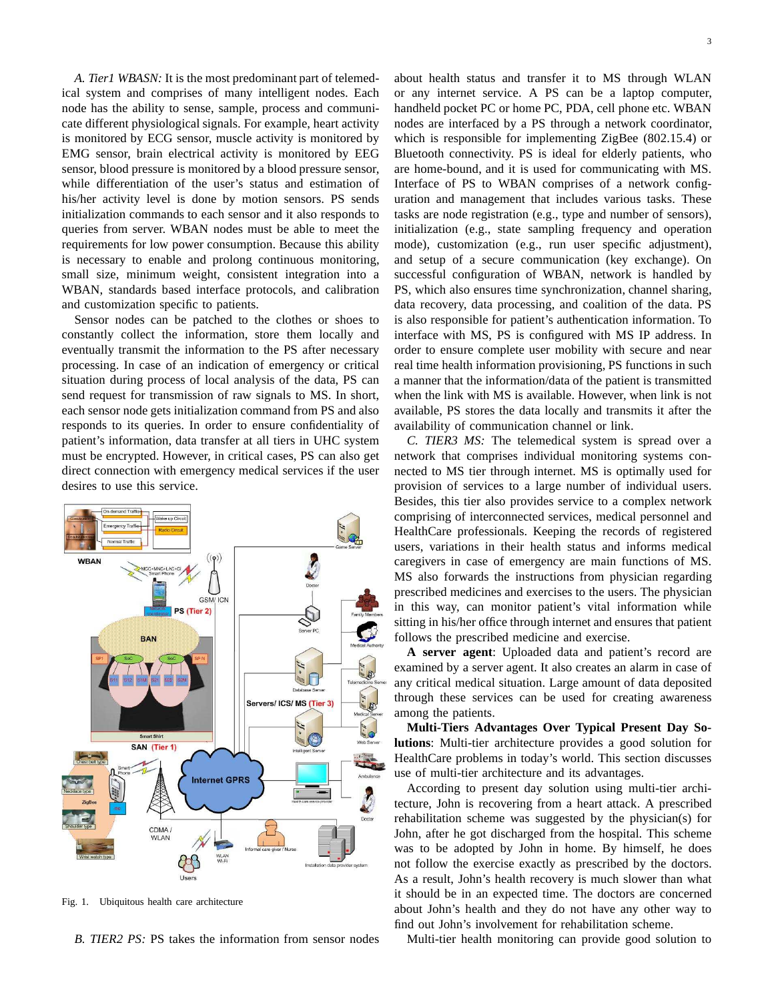*A. Tier1 WBASN:* It is the most predominant part of telemedical system and comprises of many intelligent nodes. Each node has the ability to sense, sample, process and communicate different physiological signals. For example, heart activity is monitored by ECG sensor, muscle activity is monitored by EMG sensor, brain electrical activity is monitored by EEG sensor, blood pressure is monitored by a blood pressure sensor, while differentiation of the user's status and estimation of his/her activity level is done by motion sensors. PS sends initialization commands to each sensor and it also responds to queries from server. WBAN nodes must be able to meet the requirements for low power consumption. Because this ability is necessary to enable and prolong continuous monitoring, small size, minimum weight, consistent integration into a WBAN, standards based interface protocols, and calibration and customization specific to patients.

Sensor nodes can be patched to the clothes or shoes to constantly collect the information, store them locally and eventually transmit the information to the PS after necessary processing. In case of an indication of emergency or critical situation during process of local analysis of the data, PS can send request for transmission of raw signals to MS. In short, each sensor node gets initialization command from PS and also responds to its queries. In order to ensure confidentiality of patient's information, data transfer at all tiers in UHC system must be encrypted. However, in critical cases, PS can also get direct connection with emergency medical services if the user desires to use this service.



Fig. 1. Ubiquitous health care architecture

*B. TIER2 PS:* PS takes the information from sensor nodes

about health status and transfer it to MS through WLAN or any internet service. A PS can be a laptop computer, handheld pocket PC or home PC, PDA, cell phone etc. WBAN nodes are interfaced by a PS through a network coordinator, which is responsible for implementing ZigBee (802.15.4) or Bluetooth connectivity. PS is ideal for elderly patients, who are home-bound, and it is used for communicating with MS. Interface of PS to WBAN comprises of a network configuration and management that includes various tasks. These tasks are node registration (e.g., type and number of sensors), initialization (e.g., state sampling frequency and operation mode), customization (e.g., run user specific adjustment), and setup of a secure communication (key exchange). On successful configuration of WBAN, network is handled by PS, which also ensures time synchronization, channel sharing, data recovery, data processing, and coalition of the data. PS is also responsible for patient's authentication information. To interface with MS, PS is configured with MS IP address. In order to ensure complete user mobility with secure and near real time health information provisioning, PS functions in such a manner that the information/data of the patient is transmitted when the link with MS is available. However, when link is not available, PS stores the data locally and transmits it after the availability of communication channel or link.

*C. TIER3 MS:* The telemedical system is spread over a network that comprises individual monitoring systems connected to MS tier through internet. MS is optimally used for provision of services to a large number of individual users. Besides, this tier also provides service to a complex network comprising of interconnected services, medical personnel and HealthCare professionals. Keeping the records of registered users, variations in their health status and informs medical caregivers in case of emergency are main functions of MS. MS also forwards the instructions from physician regarding prescribed medicines and exercises to the users. The physician in this way, can monitor patient's vital information while sitting in his/her office through internet and ensures that patient follows the prescribed medicine and exercise.

**A server agent**: Uploaded data and patient's record are examined by a server agent. It also creates an alarm in case of any critical medical situation. Large amount of data deposited through these services can be used for creating awareness among the patients.

**Multi-Tiers Advantages Over Typical Present Day Solutions**: Multi-tier architecture provides a good solution for HealthCare problems in today's world. This section discusses use of multi-tier architecture and its advantages.

According to present day solution using multi-tier architecture, John is recovering from a heart attack. A prescribed rehabilitation scheme was suggested by the physician(s) for John, after he got discharged from the hospital. This scheme was to be adopted by John in home. By himself, he does not follow the exercise exactly as prescribed by the doctors. As a result, John's health recovery is much slower than what it should be in an expected time. The doctors are concerned about John's health and they do not have any other way to find out John's involvement for rehabilitation scheme.

Multi-tier health monitoring can provide good solution to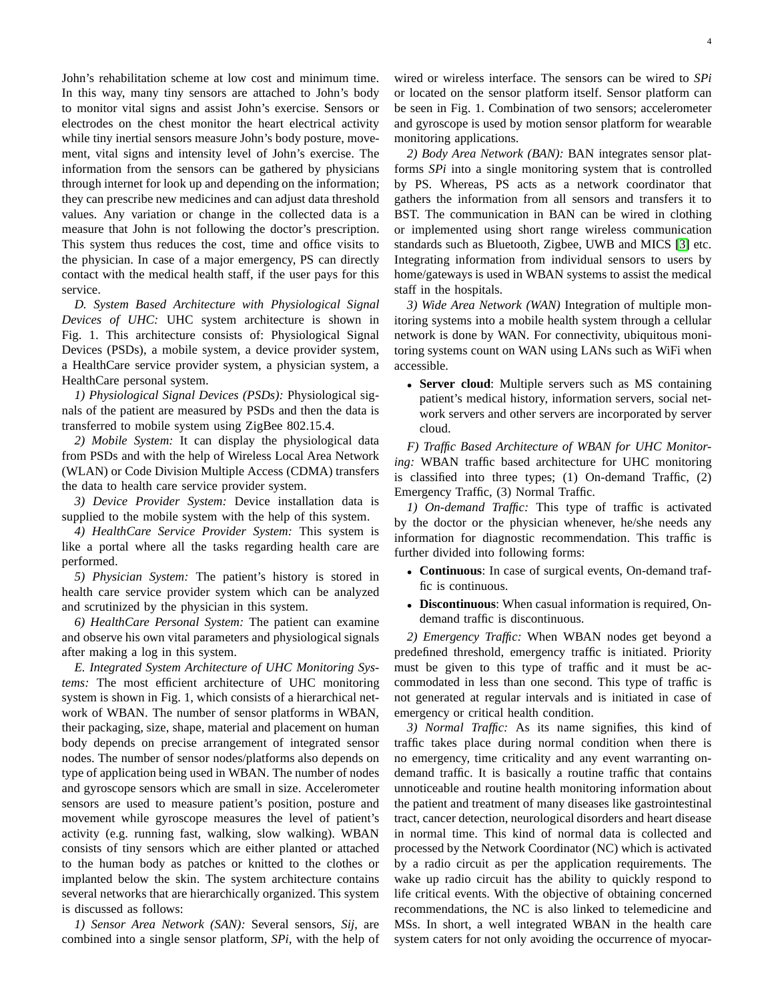John's rehabilitation scheme at low cost and minimum time. In this way, many tiny sensors are attached to John's body to monitor vital signs and assist John's exercise. Sensors or electrodes on the chest monitor the heart electrical activity while tiny inertial sensors measure John's body posture, movement, vital signs and intensity level of John's exercise. The information from the sensors can be gathered by physicians through internet for look up and depending on the information; they can prescribe new medicines and can adjust data threshold values. Any variation or change in the collected data is a measure that John is not following the doctor's prescription. This system thus reduces the cost, time and office visits to the physician. In case of a major emergency, PS can directly contact with the medical health staff, if the user pays for this service.

*D. System Based Architecture with Physiological Signal Devices of UHC:* UHC system architecture is shown in Fig. 1. This architecture consists of: Physiological Signal Devices (PSDs), a mobile system, a device provider system, a HealthCare service provider system, a physician system, a HealthCare personal system.

*1) Physiological Signal Devices (PSDs):* Physiological signals of the patient are measured by PSDs and then the data is transferred to mobile system using ZigBee 802.15.4.

*2) Mobile System:* It can display the physiological data from PSDs and with the help of Wireless Local Area Network (WLAN) or Code Division Multiple Access (CDMA) transfers the data to health care service provider system.

*3) Device Provider System:* Device installation data is supplied to the mobile system with the help of this system.

*4) HealthCare Service Provider System:* This system is like a portal where all the tasks regarding health care are performed.

*5) Physician System:* The patient's history is stored in health care service provider system which can be analyzed and scrutinized by the physician in this system.

*6) HealthCare Personal System:* The patient can examine and observe his own vital parameters and physiological signals after making a log in this system.

*E. Integrated System Architecture of UHC Monitoring Systems:* The most efficient architecture of UHC monitoring system is shown in Fig. 1, which consists of a hierarchical network of WBAN. The number of sensor platforms in WBAN, their packaging, size, shape, material and placement on human body depends on precise arrangement of integrated sensor nodes. The number of sensor nodes/platforms also depends on type of application being used in WBAN. The number of nodes and gyroscope sensors which are small in size. Accelerometer sensors are used to measure patient's position, posture and movement while gyroscope measures the level of patient's activity (e.g. running fast, walking, slow walking). WBAN consists of tiny sensors which are either planted or attached to the human body as patches or knitted to the clothes or implanted below the skin. The system architecture contains several networks that are hierarchically organized. This system is discussed as follows:

*1) Sensor Area Network (SAN):* Several sensors, *Sij*, are combined into a single sensor platform, *SPi*, with the help of wired or wireless interface. The sensors can be wired to *SPi* or located on the sensor platform itself. Sensor platform can be seen in Fig. 1. Combination of two sensors; accelerometer and gyroscope is used by motion sensor platform for wearable monitoring applications.

*2) Body Area Network (BAN):* BAN integrates sensor platforms *SPi* into a single monitoring system that is controlled by PS. Whereas, PS acts as a network coordinator that gathers the information from all sensors and transfers it to BST. The communication in BAN can be wired in clothing or implemented using short range wireless communication standards such as Bluetooth, Zigbee, UWB and MICS [\[3\]](#page-7-2) etc. Integrating information from individual sensors to users by home/gateways is used in WBAN systems to assist the medical staff in the hospitals.

*3) Wide Area Network (WAN)* Integration of multiple monitoring systems into a mobile health system through a cellular network is done by WAN. For connectivity, ubiquitous monitoring systems count on WAN using LANs such as WiFi when accessible.

• **Server cloud**: Multiple servers such as MS containing patient's medical history, information servers, social network servers and other servers are incorporated by server cloud.

*F) Traffic Based Architecture of WBAN for UHC Monitoring:* WBAN traffic based architecture for UHC monitoring is classified into three types; (1) On-demand Traffic, (2) Emergency Traffic, (3) Normal Traffic.

*1) On-demand Traffic:* This type of traffic is activated by the doctor or the physician whenever, he/she needs any information for diagnostic recommendation. This traffic is further divided into following forms:

- **Continuous**: In case of surgical events, On-demand traffic is continuous.
- **Discontinuous**: When casual information is required, Ondemand traffic is discontinuous.

*2) Emergency Traffic:* When WBAN nodes get beyond a predefined threshold, emergency traffic is initiated. Priority must be given to this type of traffic and it must be accommodated in less than one second. This type of traffic is not generated at regular intervals and is initiated in case of emergency or critical health condition.

*3) Normal Traffic:* As its name signifies, this kind of traffic takes place during normal condition when there is no emergency, time criticality and any event warranting ondemand traffic. It is basically a routine traffic that contains unnoticeable and routine health monitoring information about the patient and treatment of many diseases like gastrointestinal tract, cancer detection, neurological disorders and heart disease in normal time. This kind of normal data is collected and processed by the Network Coordinator (NC) which is activated by a radio circuit as per the application requirements. The wake up radio circuit has the ability to quickly respond to life critical events. With the objective of obtaining concerned recommendations, the NC is also linked to telemedicine and MSs. In short, a well integrated WBAN in the health care system caters for not only avoiding the occurrence of myocar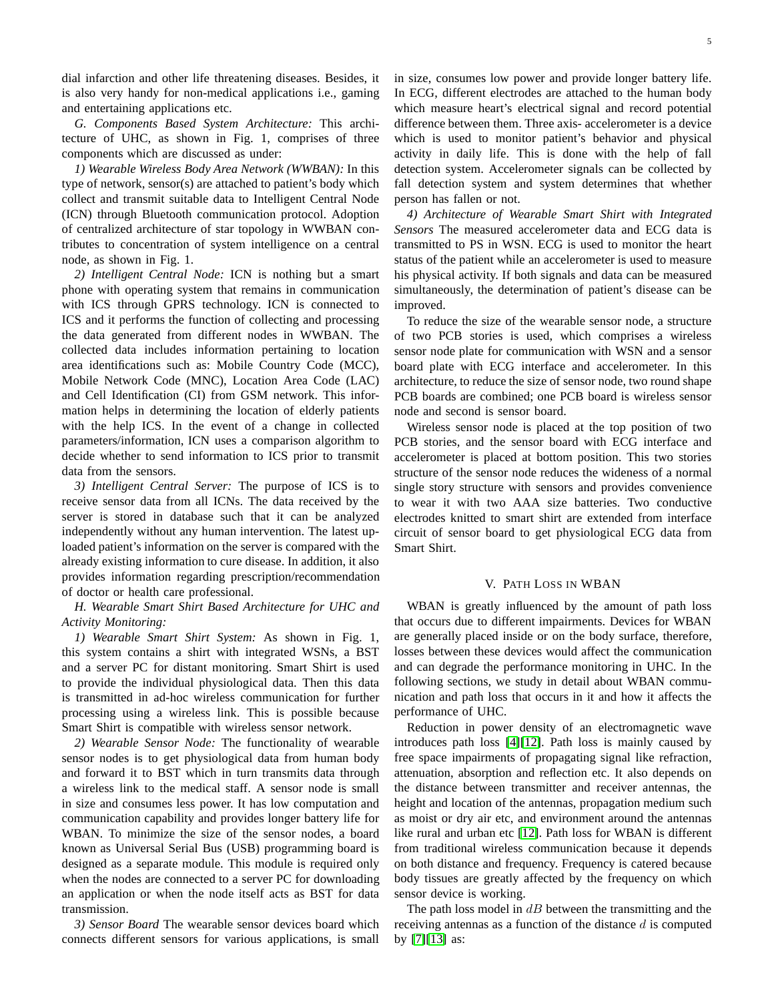dial infarction and other life threatening diseases. Besides, it is also very handy for non-medical applications i.e., gaming and entertaining applications etc.

*G. Components Based System Architecture:* This architecture of UHC, as shown in Fig. 1, comprises of three components which are discussed as under:

*1) Wearable Wireless Body Area Network (WWBAN):* In this type of network, sensor(s) are attached to patient's body which collect and transmit suitable data to Intelligent Central Node (ICN) through Bluetooth communication protocol. Adoption of centralized architecture of star topology in WWBAN contributes to concentration of system intelligence on a central node, as shown in Fig. 1.

*2) Intelligent Central Node:* ICN is nothing but a smart phone with operating system that remains in communication with ICS through GPRS technology. ICN is connected to ICS and it performs the function of collecting and processing the data generated from different nodes in WWBAN. The collected data includes information pertaining to location area identifications such as: Mobile Country Code (MCC), Mobile Network Code (MNC), Location Area Code (LAC) and Cell Identification (CI) from GSM network. This information helps in determining the location of elderly patients with the help ICS. In the event of a change in collected parameters/information, ICN uses a comparison algorithm to decide whether to send information to ICS prior to transmit data from the sensors.

*3) Intelligent Central Server:* The purpose of ICS is to receive sensor data from all ICNs. The data received by the server is stored in database such that it can be analyzed independently without any human intervention. The latest uploaded patient's information on the server is compared with the already existing information to cure disease. In addition, it also provides information regarding prescription/recommendation of doctor or health care professional.

*H. Wearable Smart Shirt Based Architecture for UHC and Activity Monitoring:*

*1) Wearable Smart Shirt System:* As shown in Fig. 1, this system contains a shirt with integrated WSNs, a BST and a server PC for distant monitoring. Smart Shirt is used to provide the individual physiological data. Then this data is transmitted in ad-hoc wireless communication for further processing using a wireless link. This is possible because Smart Shirt is compatible with wireless sensor network.

*2) Wearable Sensor Node:* The functionality of wearable sensor nodes is to get physiological data from human body and forward it to BST which in turn transmits data through a wireless link to the medical staff. A sensor node is small in size and consumes less power. It has low computation and communication capability and provides longer battery life for WBAN. To minimize the size of the sensor nodes, a board known as Universal Serial Bus (USB) programming board is designed as a separate module. This module is required only when the nodes are connected to a server PC for downloading an application or when the node itself acts as BST for data transmission.

*3) Sensor Board* The wearable sensor devices board which connects different sensors for various applications, is small in size, consumes low power and provide longer battery life. In ECG, different electrodes are attached to the human body which measure heart's electrical signal and record potential difference between them. Three axis- accelerometer is a device which is used to monitor patient's behavior and physical activity in daily life. This is done with the help of fall detection system. Accelerometer signals can be collected by fall detection system and system determines that whether person has fallen or not.

*4) Architecture of Wearable Smart Shirt with Integrated Sensors* The measured accelerometer data and ECG data is transmitted to PS in WSN. ECG is used to monitor the heart status of the patient while an accelerometer is used to measure his physical activity. If both signals and data can be measured simultaneously, the determination of patient's disease can be improved.

To reduce the size of the wearable sensor node, a structure of two PCB stories is used, which comprises a wireless sensor node plate for communication with WSN and a sensor board plate with ECG interface and accelerometer. In this architecture, to reduce the size of sensor node, two round shape PCB boards are combined; one PCB board is wireless sensor node and second is sensor board.

Wireless sensor node is placed at the top position of two PCB stories, and the sensor board with ECG interface and accelerometer is placed at bottom position. This two stories structure of the sensor node reduces the wideness of a normal single story structure with sensors and provides convenience to wear it with two AAA size batteries. Two conductive electrodes knitted to smart shirt are extended from interface circuit of sensor board to get physiological ECG data from Smart Shirt.

# V. PATH LOSS IN WBAN

WBAN is greatly influenced by the amount of path loss that occurs due to different impairments. Devices for WBAN are generally placed inside or on the body surface, therefore, losses between these devices would affect the communication and can degrade the performance monitoring in UHC. In the following sections, we study in detail about WBAN communication and path loss that occurs in it and how it affects the performance of UHC.

Reduction in power density of an electromagnetic wave introduces path loss [\[4\]](#page-7-3)[\[12\]](#page-7-11). Path loss is mainly caused by free space impairments of propagating signal like refraction, attenuation, absorption and reflection etc. It also depends on the distance between transmitter and receiver antennas, the height and location of the antennas, propagation medium such as moist or dry air etc, and environment around the antennas like rural and urban etc [\[12\]](#page-7-11). Path loss for WBAN is different from traditional wireless communication because it depends on both distance and frequency. Frequency is catered because body tissues are greatly affected by the frequency on which sensor device is working.

The path loss model in  $dB$  between the transmitting and the receiving antennas as a function of the distance  $d$  is computed by [\[7\]](#page-7-4)[\[13\]](#page-7-12) as: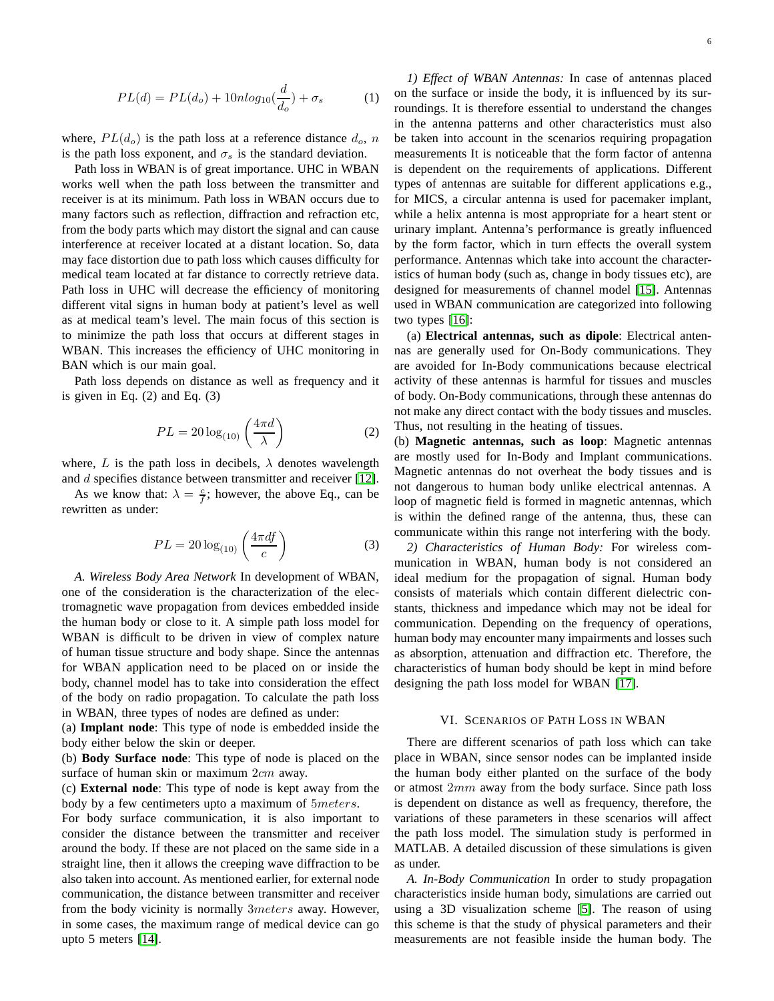$$
PL(d) = PL(d_o) + 10nlog_{10}(\frac{d}{d_o}) + \sigma_s
$$
 (1)

where,  $PL(d_o)$  is the path loss at a reference distance  $d_o$ , n is the path loss exponent, and  $\sigma_s$  is the standard deviation.

Path loss in WBAN is of great importance. UHC in WBAN works well when the path loss between the transmitter and receiver is at its minimum. Path loss in WBAN occurs due to many factors such as reflection, diffraction and refraction etc, from the body parts which may distort the signal and can cause interference at receiver located at a distant location. So, data may face distortion due to path loss which causes difficulty for medical team located at far distance to correctly retrieve data. Path loss in UHC will decrease the efficiency of monitoring different vital signs in human body at patient's level as well as at medical team's level. The main focus of this section is to minimize the path loss that occurs at different stages in WBAN. This increases the efficiency of UHC monitoring in BAN which is our main goal.

Path loss depends on distance as well as frequency and it is given in Eq.  $(2)$  and Eq.  $(3)$ 

$$
PL = 20 \log_{(10)} \left( \frac{4\pi d}{\lambda} \right) \tag{2}
$$

where, L is the path loss in decibels,  $\lambda$  denotes wavelength and d specifies distance between transmitter and receiver [\[12\]](#page-7-11).

As we know that:  $\lambda = \frac{c}{f}$ ; however, the above Eq., can be rewritten as under:

$$
PL = 20 \log_{(10)} \left( \frac{4\pi df}{c} \right) \tag{3}
$$

*A. Wireless Body Area Network* In development of WBAN, one of the consideration is the characterization of the electromagnetic wave propagation from devices embedded inside the human body or close to it. A simple path loss model for WBAN is difficult to be driven in view of complex nature of human tissue structure and body shape. Since the antennas for WBAN application need to be placed on or inside the body, channel model has to take into consideration the effect of the body on radio propagation. To calculate the path loss in WBAN, three types of nodes are defined as under:

(a) **Implant node**: This type of node is embedded inside the body either below the skin or deeper.

(b) **Body Surface node**: This type of node is placed on the surface of human skin or maximum 2cm away.

(c) **External node**: This type of node is kept away from the body by a few centimeters upto a maximum of  $5meters$ .

For body surface communication, it is also important to consider the distance between the transmitter and receiver around the body. If these are not placed on the same side in a straight line, then it allows the creeping wave diffraction to be also taken into account. As mentioned earlier, for external node communication, the distance between transmitter and receiver from the body vicinity is normally  $3meters$  away. However, in some cases, the maximum range of medical device can go upto 5 meters [\[14\]](#page-7-13).

*1) Effect of WBAN Antennas:* In case of antennas placed on the surface or inside the body, it is influenced by its surroundings. It is therefore essential to understand the changes in the antenna patterns and other characteristics must also be taken into account in the scenarios requiring propagation measurements It is noticeable that the form factor of antenna is dependent on the requirements of applications. Different types of antennas are suitable for different applications e.g., for MICS, a circular antenna is used for pacemaker implant, while a helix antenna is most appropriate for a heart stent or urinary implant. Antenna's performance is greatly influenced by the form factor, which in turn effects the overall system performance. Antennas which take into account the characteristics of human body (such as, change in body tissues etc), are designed for measurements of channel model [\[15\]](#page-7-14). Antennas used in WBAN communication are categorized into following two types [\[16\]](#page-7-15):

(a) **Electrical antennas, such as dipole**: Electrical antennas are generally used for On-Body communications. They are avoided for In-Body communications because electrical activity of these antennas is harmful for tissues and muscles of body. On-Body communications, through these antennas do not make any direct contact with the body tissues and muscles. Thus, not resulting in the heating of tissues.

(b) **Magnetic antennas, such as loop**: Magnetic antennas are mostly used for In-Body and Implant communications. Magnetic antennas do not overheat the body tissues and is not dangerous to human body unlike electrical antennas. A loop of magnetic field is formed in magnetic antennas, which is within the defined range of the antenna, thus, these can communicate within this range not interfering with the body.

*2) Characteristics of Human Body:* For wireless communication in WBAN, human body is not considered an ideal medium for the propagation of signal. Human body consists of materials which contain different dielectric constants, thickness and impedance which may not be ideal for communication. Depending on the frequency of operations, human body may encounter many impairments and losses such as absorption, attenuation and diffraction etc. Therefore, the characteristics of human body should be kept in mind before designing the path loss model for WBAN [\[17\]](#page-7-16).

### VI. SCENARIOS OF PATH LOSS IN WBAN

There are different scenarios of path loss which can take place in WBAN, since sensor nodes can be implanted inside the human body either planted on the surface of the body or atmost 2mm away from the body surface. Since path loss is dependent on distance as well as frequency, therefore, the variations of these parameters in these scenarios will affect the path loss model. The simulation study is performed in MATLAB. A detailed discussion of these simulations is given as under.

*A. In-Body Communication* In order to study propagation characteristics inside human body, simulations are carried out using a 3D visualization scheme [\[5\]](#page-7-9). The reason of using this scheme is that the study of physical parameters and their measurements are not feasible inside the human body. The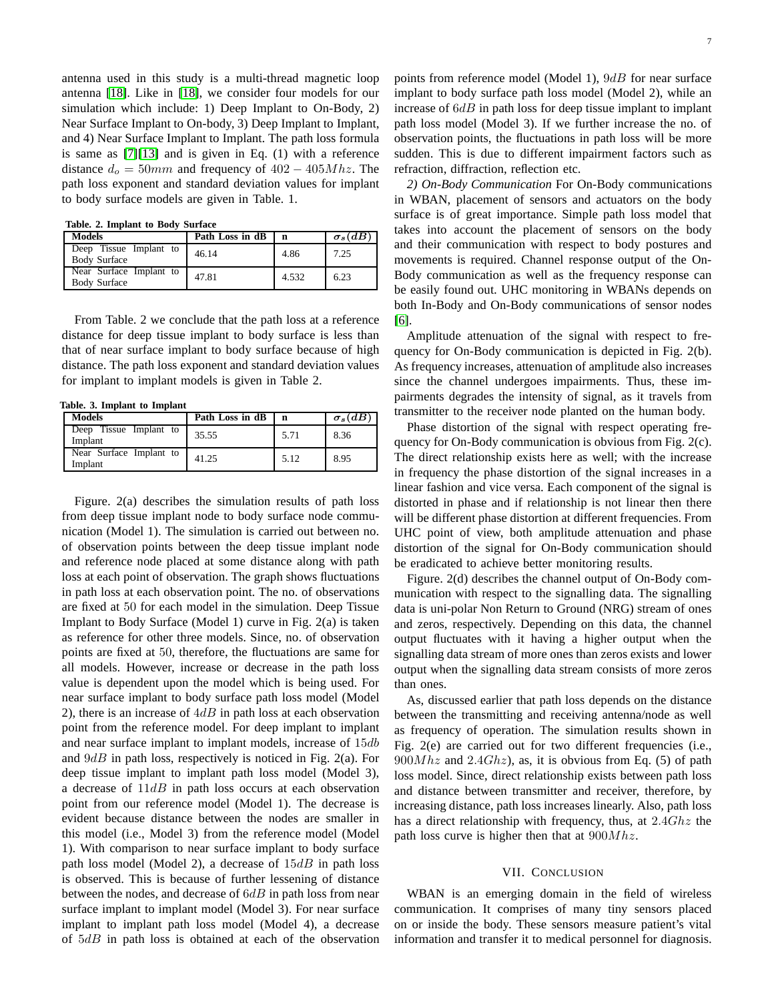antenna used in this study is a multi-thread magnetic loop antenna [\[18\]](#page-7-17). Like in [\[18\]](#page-7-17), we consider four models for our simulation which include: 1) Deep Implant to On-Body, 2) Near Surface Implant to On-body, 3) Deep Implant to Implant, and 4) Near Surface Implant to Implant. The path loss formula is same as [\[7\]](#page-7-4)[\[13\]](#page-7-12) and is given in Eq. (1) with a reference distance  $d_0 = 50 \, \text{mm}$  and frequency of  $402 - 405 \, \text{M}$  hz. The path loss exponent and standard deviation values for implant to body surface models are given in Table. 1.

|  |  | Table. 2. Implant to Body Surface |  |  |  |
|--|--|-----------------------------------|--|--|--|
|--|--|-----------------------------------|--|--|--|

| <b>Models</b>                                  | Path Loss in dB | n     | $\sigma_s(dB)$ |
|------------------------------------------------|-----------------|-------|----------------|
| Deep Tissue Implant to<br><b>Body Surface</b>  | 46.14           | 4.86  | 7.25           |
| Near Surface Implant to<br><b>Body Surface</b> | 47.81           | 4.532 | 6.23           |

From Table. 2 we conclude that the path loss at a reference distance for deep tissue implant to body surface is less than that of near surface implant to body surface because of high distance. The path loss exponent and standard deviation values for implant to implant models is given in Table 2.

**Table. 3. Implant to Implant**

| <b>Models</b>                                                    | Path Loss in dB | n    | $\sigma_s(dB)$ |
|------------------------------------------------------------------|-----------------|------|----------------|
| Deep Tissue Implant to $\overline{\smash{)}\,}$ 35.55<br>Implant |                 | 5.71 | 8.36           |
| Near Surface Implant to<br>Implant                               | 41.25           | 5.12 | 8.95           |

Figure. 2(a) describes the simulation results of path loss from deep tissue implant node to body surface node communication (Model 1). The simulation is carried out between no. of observation points between the deep tissue implant node and reference node placed at some distance along with path loss at each point of observation. The graph shows fluctuations in path loss at each observation point. The no. of observations are fixed at 50 for each model in the simulation. Deep Tissue Implant to Body Surface (Model 1) curve in Fig. 2(a) is taken as reference for other three models. Since, no. of observation points are fixed at 50, therefore, the fluctuations are same for all models. However, increase or decrease in the path loss value is dependent upon the model which is being used. For near surface implant to body surface path loss model (Model 2), there is an increase of  $4dB$  in path loss at each observation point from the reference model. For deep implant to implant and near surface implant to implant models, increase of 15db and  $9dB$  in path loss, respectively is noticed in Fig. 2(a). For deep tissue implant to implant path loss model (Model 3), a decrease of  $11dB$  in path loss occurs at each observation point from our reference model (Model 1). The decrease is evident because distance between the nodes are smaller in this model (i.e., Model 3) from the reference model (Model 1). With comparison to near surface implant to body surface path loss model (Model 2), a decrease of  $15dB$  in path loss is observed. This is because of further lessening of distance between the nodes, and decrease of  $6dB$  in path loss from near surface implant to implant model (Model 3). For near surface implant to implant path loss model (Model 4), a decrease of  $5dB$  in path loss is obtained at each of the observation

points from reference model (Model 1),  $9dB$  for near surface implant to body surface path loss model (Model 2), while an increase of  $6dB$  in path loss for deep tissue implant to implant path loss model (Model 3). If we further increase the no. of observation points, the fluctuations in path loss will be more sudden. This is due to different impairment factors such as refraction, diffraction, reflection etc.

*2) On-Body Communication* For On-Body communications in WBAN, placement of sensors and actuators on the body surface is of great importance. Simple path loss model that takes into account the placement of sensors on the body and their communication with respect to body postures and movements is required. Channel response output of the On-Body communication as well as the frequency response can be easily found out. UHC monitoring in WBANs depends on both In-Body and On-Body communications of sensor nodes [\[6\]](#page-7-10).

Amplitude attenuation of the signal with respect to frequency for On-Body communication is depicted in Fig. 2(b). As frequency increases, attenuation of amplitude also increases since the channel undergoes impairments. Thus, these impairments degrades the intensity of signal, as it travels from transmitter to the receiver node planted on the human body.

Phase distortion of the signal with respect operating frequency for On-Body communication is obvious from Fig. 2(c). The direct relationship exists here as well; with the increase in frequency the phase distortion of the signal increases in a linear fashion and vice versa. Each component of the signal is distorted in phase and if relationship is not linear then there will be different phase distortion at different frequencies. From UHC point of view, both amplitude attenuation and phase distortion of the signal for On-Body communication should be eradicated to achieve better monitoring results.

Figure. 2(d) describes the channel output of On-Body communication with respect to the signalling data. The signalling data is uni-polar Non Return to Ground (NRG) stream of ones and zeros, respectively. Depending on this data, the channel output fluctuates with it having a higher output when the signalling data stream of more ones than zeros exists and lower output when the signalling data stream consists of more zeros than ones.

As, discussed earlier that path loss depends on the distance between the transmitting and receiving antenna/node as well as frequency of operation. The simulation results shown in Fig. 2(e) are carried out for two different frequencies (i.e.,  $900Mhz$  and  $2.4Ghz$ ), as, it is obvious from Eq. (5) of path loss model. Since, direct relationship exists between path loss and distance between transmitter and receiver, therefore, by increasing distance, path loss increases linearly. Also, path loss has a direct relationship with frequency, thus, at 2.4Ghz the path loss curve is higher then that at  $900Mhz$ .

#### VII. CONCLUSION

WBAN is an emerging domain in the field of wireless communication. It comprises of many tiny sensors placed on or inside the body. These sensors measure patient's vital information and transfer it to medical personnel for diagnosis.